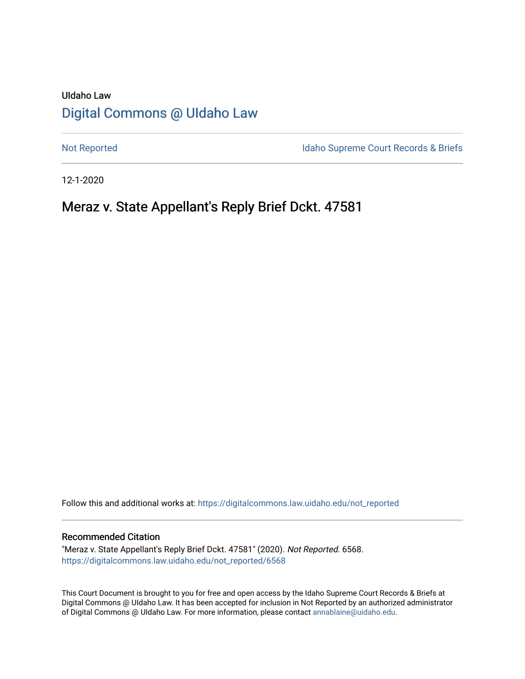# UIdaho Law [Digital Commons @ UIdaho Law](https://digitalcommons.law.uidaho.edu/)

[Not Reported](https://digitalcommons.law.uidaho.edu/not_reported) **Idaho Supreme Court Records & Briefs** 

12-1-2020

# Meraz v. State Appellant's Reply Brief Dckt. 47581

Follow this and additional works at: [https://digitalcommons.law.uidaho.edu/not\\_reported](https://digitalcommons.law.uidaho.edu/not_reported?utm_source=digitalcommons.law.uidaho.edu%2Fnot_reported%2F6568&utm_medium=PDF&utm_campaign=PDFCoverPages) 

#### Recommended Citation

"Meraz v. State Appellant's Reply Brief Dckt. 47581" (2020). Not Reported. 6568. [https://digitalcommons.law.uidaho.edu/not\\_reported/6568](https://digitalcommons.law.uidaho.edu/not_reported/6568?utm_source=digitalcommons.law.uidaho.edu%2Fnot_reported%2F6568&utm_medium=PDF&utm_campaign=PDFCoverPages)

This Court Document is brought to you for free and open access by the Idaho Supreme Court Records & Briefs at Digital Commons @ UIdaho Law. It has been accepted for inclusion in Not Reported by an authorized administrator of Digital Commons @ UIdaho Law. For more information, please contact [annablaine@uidaho.edu](mailto:annablaine@uidaho.edu).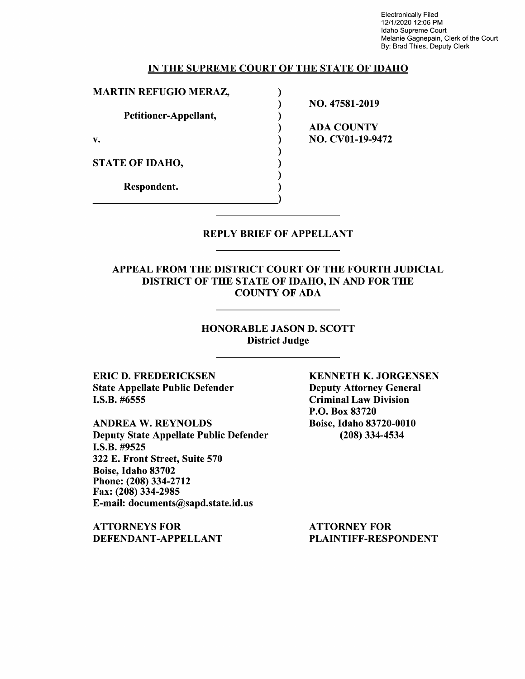Electronically Filed 12/1/2020 12:06 PM Idaho Supreme Court Melanie Gagnepain, Clerk of the Court By: Brad Thies, Deputy Clerk

#### **IN THE SUPREME COURT OF THE STATE OF IDAHO**

) ) ) ) ) ) ) ) )

**MARTIN REFUGIO MERAZ, Petitioner-Appellant, v.**  STATE OF IDAHO, Respondent.

**NO. 47581-2019 ADA COUNTY NO. CV0l-19-9472** 

#### REPLY BRIEF OF APPELLANT

APPEAL FROM THE DISTRICT COURT OF THE FOURTH JUDICIAL DISTRICT OF THE STATE OF IDAHO, IN AND FOR THE COUNTY OF ADA

### HONORABLE JASON D. SCOTT District Judge

ERIC D. FREDERICKSEN State Appellate Public Defender I.S.B. #6555

**ANDREA W. REYNOLDS**  Deputy State Appellate Public Defender **I.S.B.** #9525 322 E. Front Street, Suite 570 Boise, Idaho 83702 Phone:(208)334-2712 Fax: (208) 334-2985 E-mail: documents@sapd.state.id.us

**ATTORNEYS FOR DEFENDANT-APPELLANT**  **KENNETH K. JORGENSEN**  Deputy Attorney General Criminal Law Division P.O. Box 83720 Boise, Idaho 83720-0010 (208) 334-4534

ATTORNEY FOR PLAINTIFF-RESPONDENT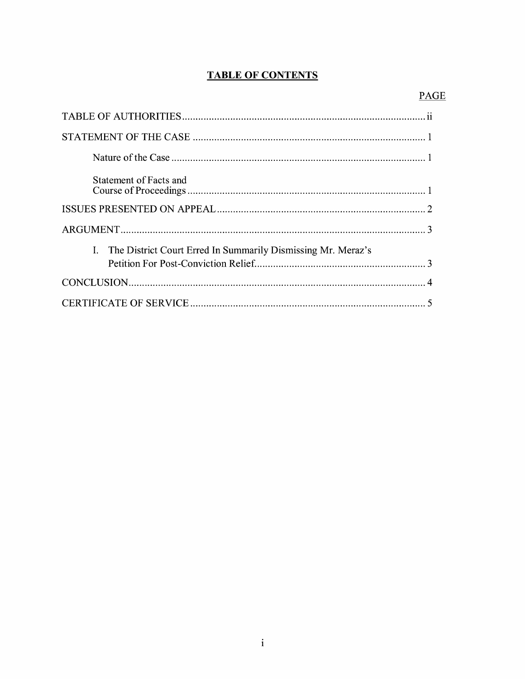# **TABLE OF CONTENTS**

| Statement of Facts and                                          |
|-----------------------------------------------------------------|
|                                                                 |
|                                                                 |
| I. The District Court Erred In Summarily Dismissing Mr. Meraz's |
|                                                                 |
|                                                                 |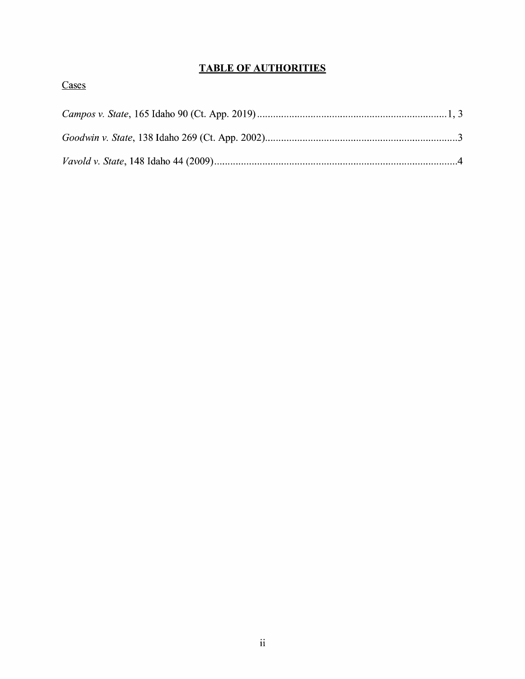# **TABLE OF AUTHORITIES**

|--|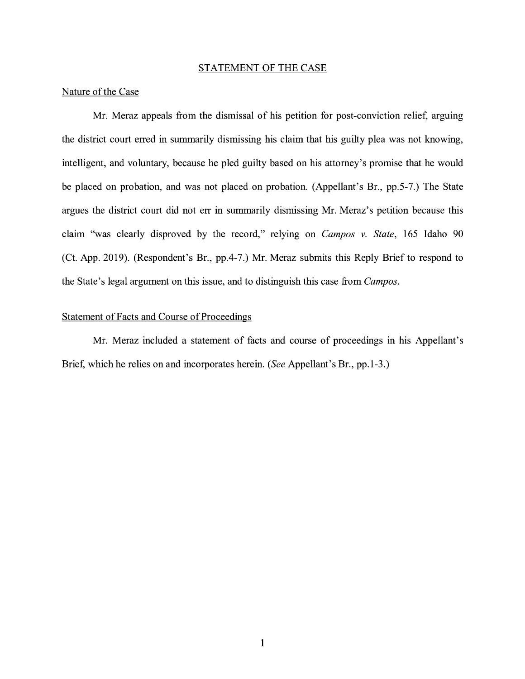#### STATEMENT OF THE CASE

### Nature of the Case

Mr. Meraz appeals from the dismissal of his petition for post-conviction relief, arguing the district court erred in summarily dismissing his claim that his guilty plea was not knowing, intelligent, and voluntary, because he pled guilty based on his attorney's promise that he would be placed on probation, and was not placed on probation. (Appellant's Br., pp.5-7.) The State argues the district court did not err in summarily dismissing Mr. Meraz's petition because this claim "was clearly disproved by the record," relying on *Campos v. State,* 165 Idaho 90 (Ct. App. 2019). (Respondent's Br., pp.4-7.) Mr. Meraz submits this Reply Brief to respond to the State's legal argument on this issue, and to distinguish this case from *Campos.* 

## Statement of Facts and Course of Proceedings

Mr. Meraz included a statement of facts and course of proceedings in his Appellant's Brief, which he relies on and incorporates herein. *(See* Appellant's Br., pp.1-3.)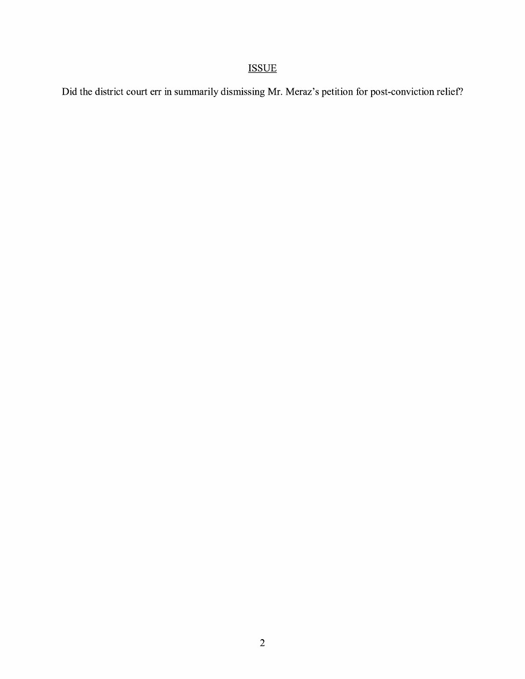# ISSUE

Did the district court err in summarily dismissing Mr. Meraz's petition for post-conviction relief?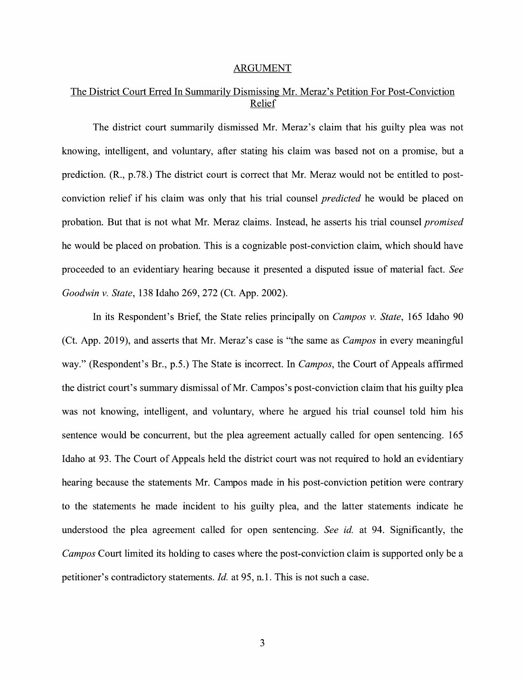#### ARGUMENT

## The District Court Erred In Summarily Dismissing Mr. Meraz's Petition For Post-Conviction Relief

The district court summarily dismissed Mr. Meraz's claim that his guilty plea was not knowing, intelligent, and voluntary, after stating his claim was based not on a promise, but a prediction. (R., p.78.) The district court is correct that Mr. Meraz would not be entitled to postconviction relief if his claim was only that his trial counsel *predicted* he would be placed on probation. But that is not what Mr. Meraz claims. Instead, he asserts his trial counsel *promised*  he would be placed on probation. This is a cognizable post-conviction claim, which should have proceeded to an evidentiary hearing because it presented a disputed issue of material fact. *See Goodwin v. State,* 138 Idaho 269, 272 (Ct. App. 2002).

In its Respondent's Brief, the State relies principally on *Campos v. State,* 165 Idaho 90 (Ct. App. 2019), and asserts that Mr. Meraz's case is "the same as *Campos* in every meaningful way." (Respondent's Br., p.5.) The State is incorrect. In *Campos,* the Court of Appeals affirmed the district court's summary dismissal of Mr. Campos's post-conviction claim that his guilty plea was not knowing, intelligent, and voluntary, where he argued his trial counsel told him his sentence would be concurrent, but the plea agreement actually called for open sentencing. 165 Idaho at 93. The Court of Appeals held the district court was not required to hold an evidentiary hearing because the statements Mr. Campos made in his post-conviction petition were contrary to the statements he made incident to his guilty plea, and the latter statements indicate he understood the plea agreement called for open sentencing. *See id.* at 94. Significantly, the *Campos* Court limited its holding to cases where the post-conviction claim is supported only be a petitioner's contradictory statements. *Id.* at 95, n.1. This is not such a case.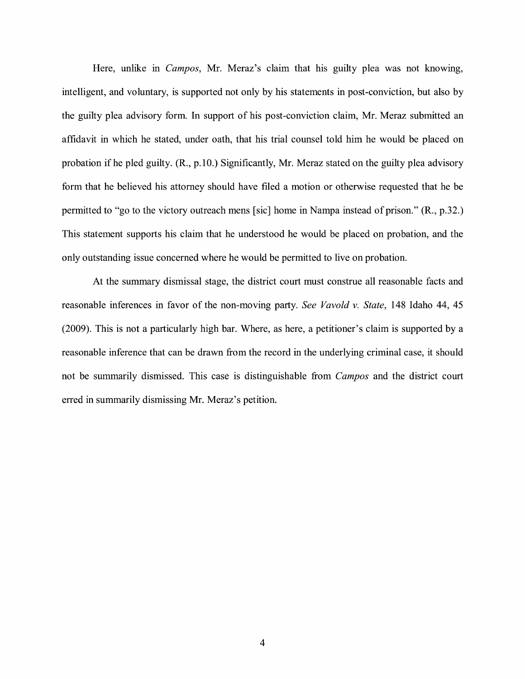Here, unlike in *Campos,* Mr. Meraz's claim that his guilty plea was not knowing, intelligent, and voluntary, is supported not only by his statements in post-conviction, but also by the guilty plea advisory form. In support of his post-conviction claim, Mr. Meraz submitted an affidavit in which he stated, under oath, that his trial counsel told him he would be placed on probation if he pled guilty.  $(R_1, p.10)$ . Significantly, Mr. Meraz stated on the guilty plea advisory form that he believed his attorney should have filed a motion or otherwise requested that he be permitted to "go to the victory outreach mens [sic] home in Nampa instead of prison." (R., p.32.) This statement supports his claim that he understood he would be placed on probation, and the only outstanding issue concerned where he would be permitted to live on probation.

At the summary dismissal stage, the district court must construe all reasonable facts and reasonable inferences in favor of the non-moving party. *See Vavold v. State,* 148 Idaho 44, 45 (2009). This is not a particularly high bar. Where, as here, a petitioner's claim is supported by a reasonable inference that can be drawn from the record in the underlying criminal case, it should not be summarily dismissed. This case is distinguishable from *Campos* and the district court erred in summarily dismissing Mr. Meraz's petition.